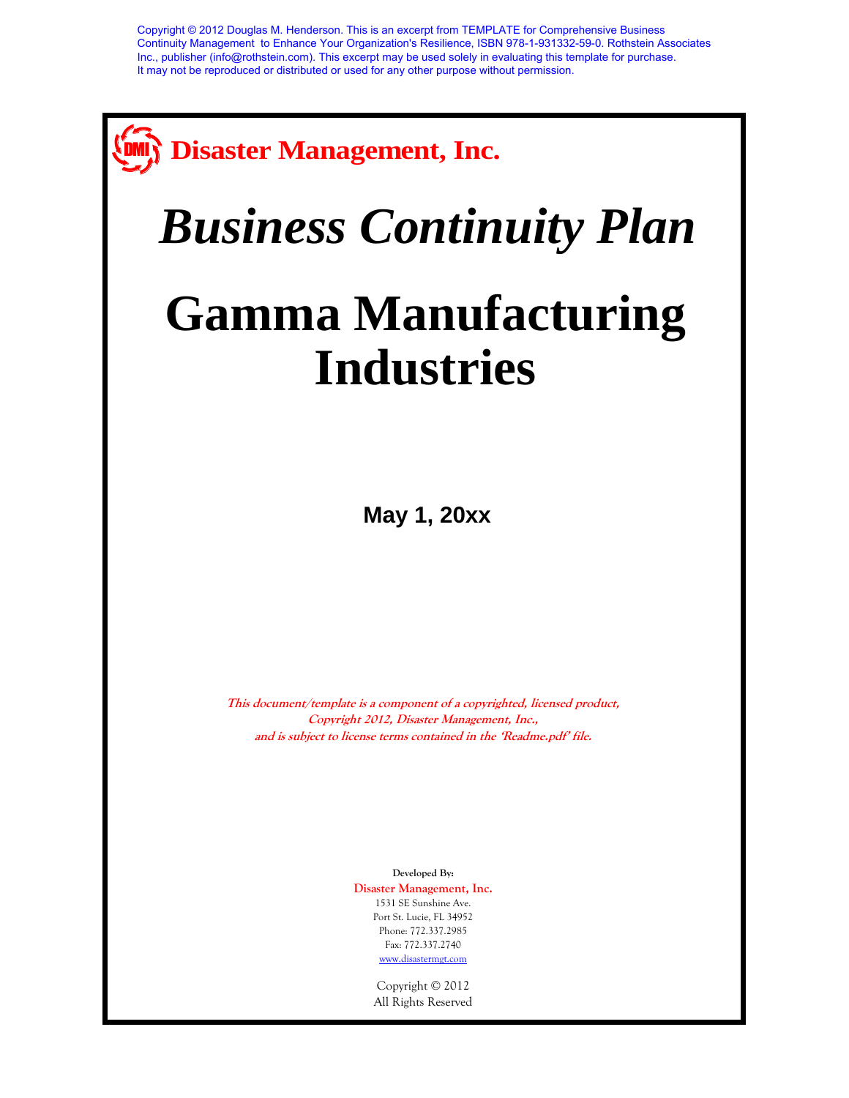

# *Business Continuity Plan*

## **Gamma Manufacturing Industries**

**May 1, 20xx**

**This document/template is a component of a copyrighted, licensed product, Copyright 2012, Disaster Management, Inc., and is subject to license terms contained in the 'Readme.pdf' file.** 

> **Developed By: Disaster Management, Inc.** 1531 SE Sunshine Ave. Port St. Lucie, FL 34952 Phone: 772.337.2985 Fax: 772.337.2740 [www.disastermgt.com](http://www.disastermgt.com/)

> > Copyright © 2012 All Rights Reserved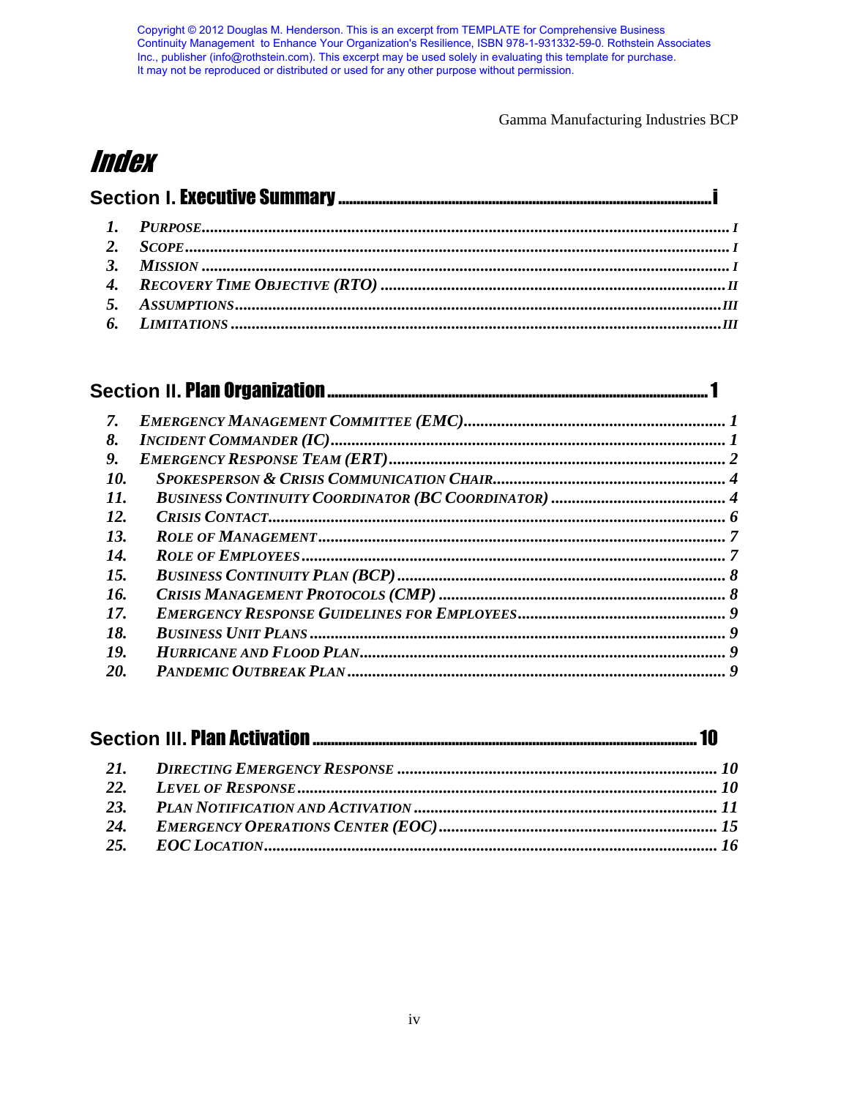Copyright © 2012 Douglas M. Henderson. This is an excerpt from TEMPLATE for Comprehensive Business<br>Continuity Management to Enhance Your Organization's Resilience, ISBN 978-1-931332-59-0. Rothstein Associates<br>Inc., publish

Gamma Manufacturing Industries BCP

## **Index**

| 7.  |  |  |  |  |
|-----|--|--|--|--|
| 8.  |  |  |  |  |
| 9.  |  |  |  |  |
| 10. |  |  |  |  |
| 11. |  |  |  |  |
| 12. |  |  |  |  |
| 13. |  |  |  |  |
| 14. |  |  |  |  |
| 15. |  |  |  |  |
| 16. |  |  |  |  |
| 17. |  |  |  |  |
| 18. |  |  |  |  |
| 19. |  |  |  |  |
| 20. |  |  |  |  |

| 24. |  |  |  |
|-----|--|--|--|
|     |  |  |  |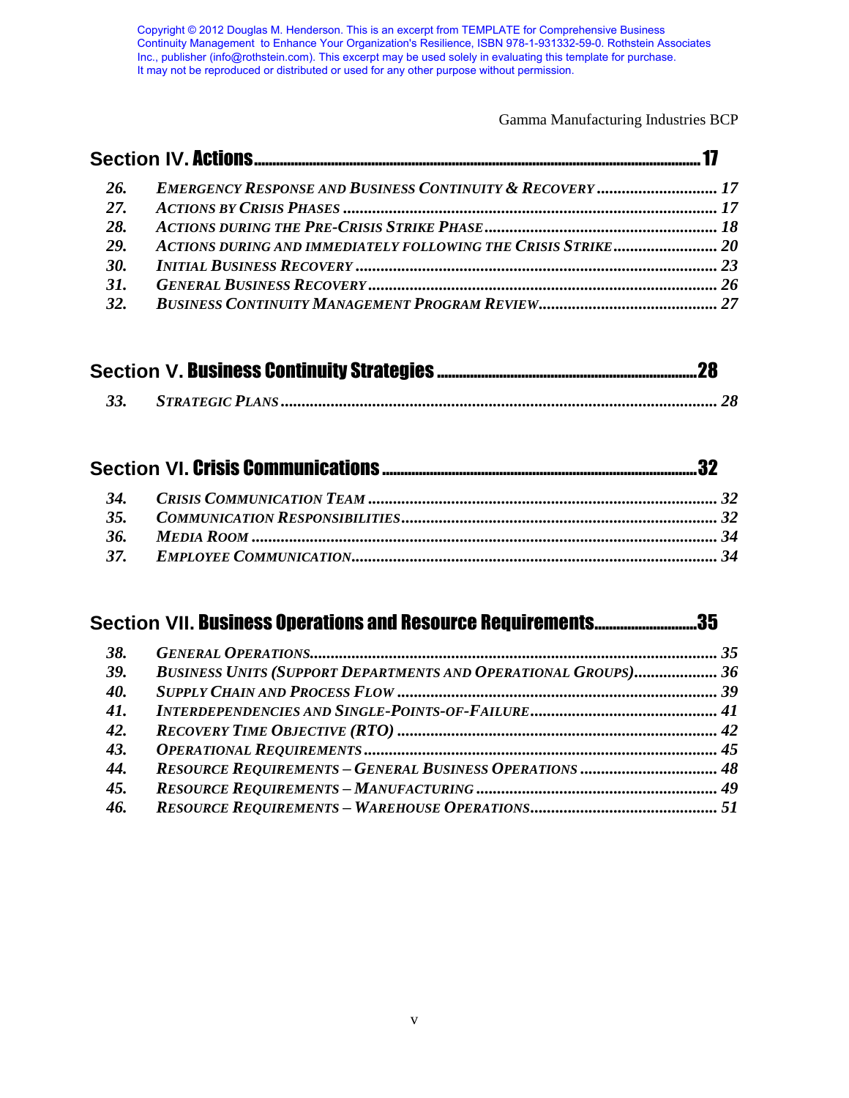Gamma Manufacturing Industries BCP

| 26. | <b>EMERGENCY RESPONSE AND BUSINESS CONTINUITY &amp; RECOVERY  17</b> |  |
|-----|----------------------------------------------------------------------|--|
| 27. |                                                                      |  |
| 28. |                                                                      |  |
| 29. | ACTIONS DURING AND IMMEDIATELY FOLLOWING THE CRISIS STRIKE 20        |  |
| 30. |                                                                      |  |
| 31. |                                                                      |  |
| 32. |                                                                      |  |

### **Section VII.** Business Operations and Resource Requirements ............................35

| 38. |                                                                       |  |
|-----|-----------------------------------------------------------------------|--|
| 39. | <b>BUSINESS UNITS (SUPPORT DEPARTMENTS AND OPERATIONAL GROUPS) 36</b> |  |
| 40. |                                                                       |  |
| 41. |                                                                       |  |
| 42. |                                                                       |  |
| 43. |                                                                       |  |
| 44. | <b>RESOURCE REQUIREMENTS - GENERAL BUSINESS OPERATIONS  48</b>        |  |
| 45. |                                                                       |  |
| 46. |                                                                       |  |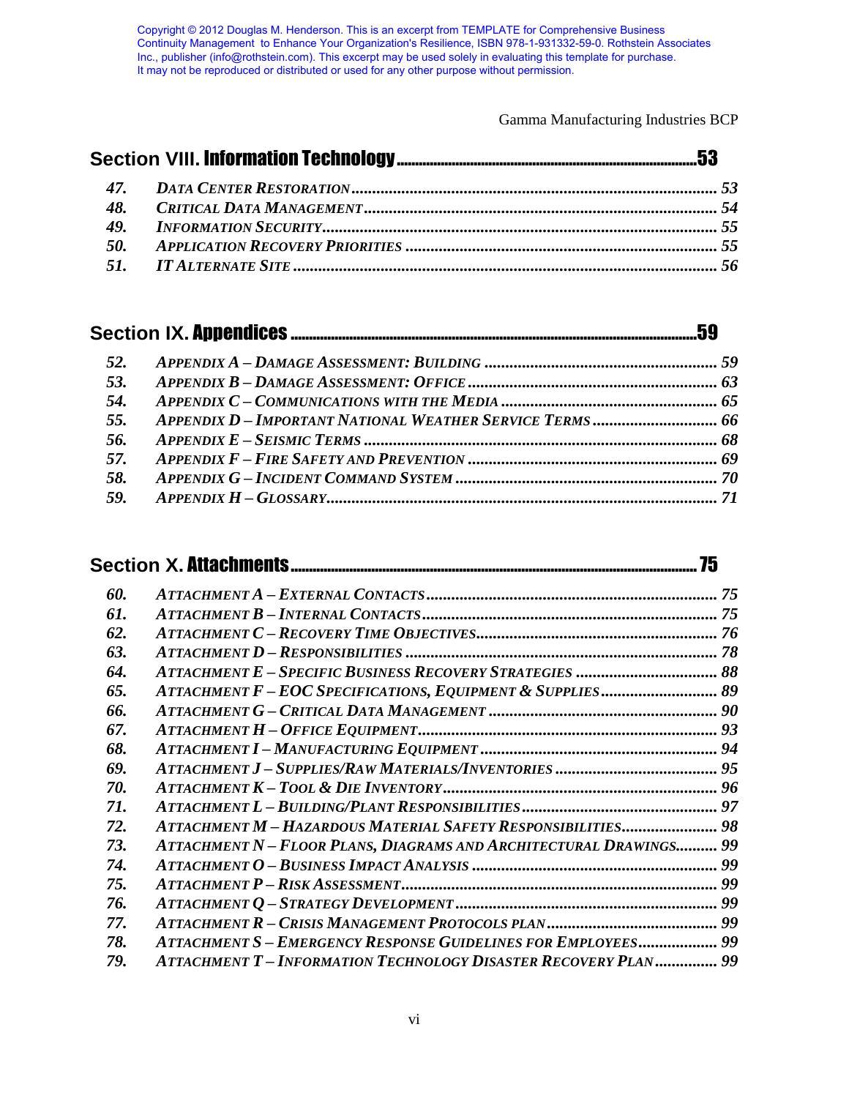Gamma Manufacturing Industries BCP

| 48. |  |  |
|-----|--|--|
|     |  |  |
|     |  |  |
|     |  |  |

### **Section IX.** Appendices ...............................................................................................................59

|     | .75                                                                  |  |  |
|-----|----------------------------------------------------------------------|--|--|
| 60. |                                                                      |  |  |
| 61. |                                                                      |  |  |
| 62. |                                                                      |  |  |
| 63. |                                                                      |  |  |
| 64. |                                                                      |  |  |
| 65. | ATTACHMENT F-EOC SPECIFICATIONS, EQUIPMENT & SUPPLIES 89             |  |  |
| 66. |                                                                      |  |  |
| 67. |                                                                      |  |  |
| 68. |                                                                      |  |  |
| 69. |                                                                      |  |  |
| 70. |                                                                      |  |  |
| 71. |                                                                      |  |  |
| 72. | ATTACHMENT M - HAZARDOUS MATERIAL SAFETY RESPONSIBILITIES 98         |  |  |
| 73. | ATTACHMENT N - FLOOR PLANS, DIAGRAMS AND ARCHITECTURAL DRAWINGS 99   |  |  |
| 74. |                                                                      |  |  |
| 75. |                                                                      |  |  |
| 76. |                                                                      |  |  |
| 77. |                                                                      |  |  |
| 78. | <b>ATTACHMENT S - EMERGENCY RESPONSE GUIDELINES FOR EMPLOYEES 99</b> |  |  |
| 79. | ATTACHMENT T-INFORMATION TECHNOLOGY DISASTER RECOVERY PLAN 99        |  |  |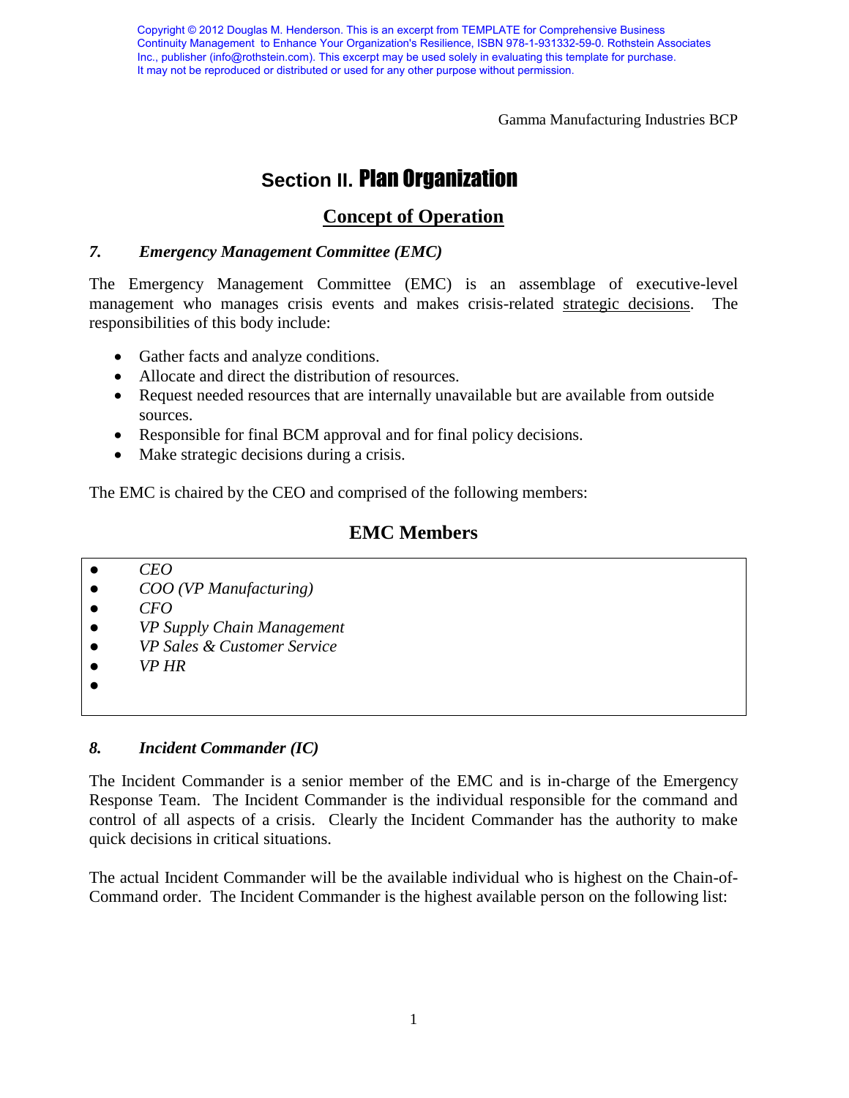Gamma Manufacturing Industries BCP

## **Section II. Plan Organization**

#### **Concept of Operation**

#### *7. Emergency Management Committee (EMC)*

The Emergency Management Committee (EMC) is an assemblage of executive-level management who manages crisis events and makes crisis-related strategic decisions. The responsibilities of this body include:

- Gather facts and analyze conditions.
- Allocate and direct the distribution of resources.
- Request needed resources that are internally unavailable but are available from outside sources.
- Responsible for final BCM approval and for final policy decisions.
- Make strategic decisions during a crisis.

The EMC is chaired by the CEO and comprised of the following members:

#### **EMC Members**

- *CEO*
- *COO (VP Manufacturing)*
- *CFO*
- *VP Supply Chain Management*
- *VP Sales & Customer Service*
- *VP HR*
- ●

#### *8. Incident Commander (IC)*

The Incident Commander is a senior member of the EMC and is in-charge of the Emergency Response Team. The Incident Commander is the individual responsible for the command and control of all aspects of a crisis. Clearly the Incident Commander has the authority to make quick decisions in critical situations.

The actual Incident Commander will be the available individual who is highest on the Chain-of-Command order. The Incident Commander is the highest available person on the following list: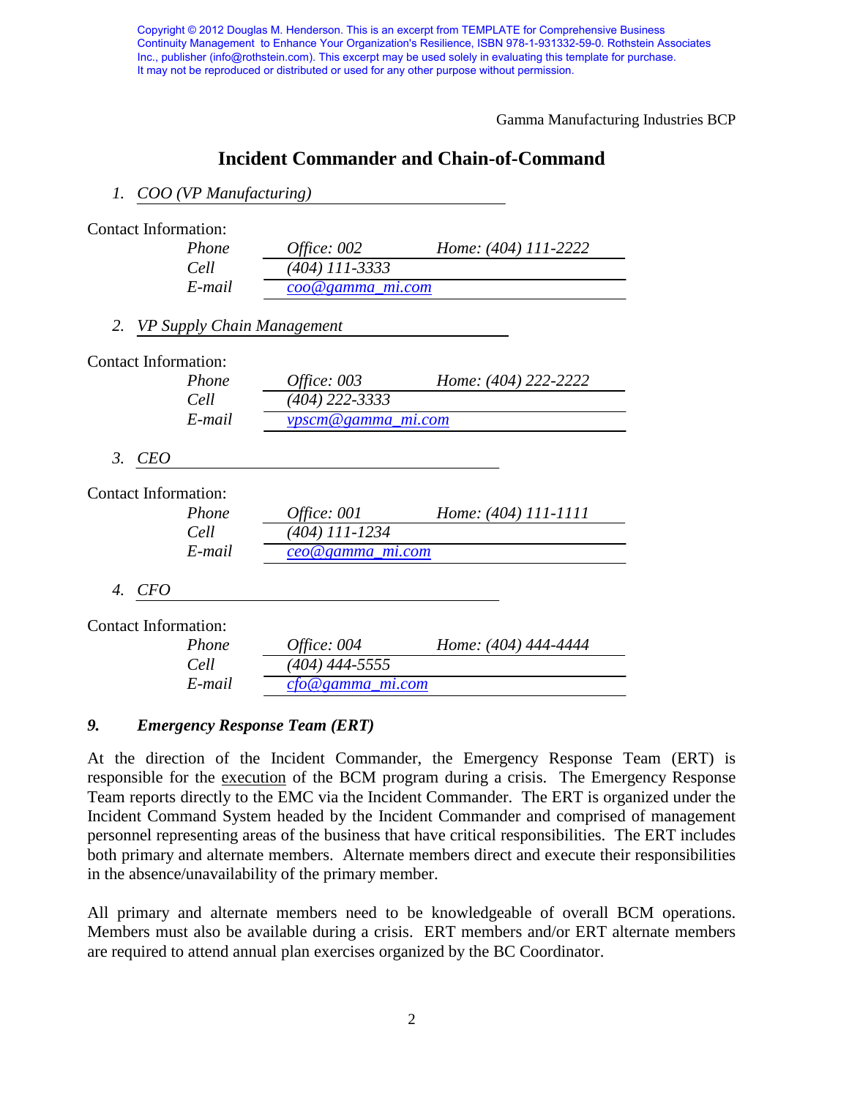Gamma Manufacturing Industries BCP

#### **Incident Commander and Chain-of-Command**

#### *1. COO (VP Manufacturing)*

|            | Phone  | Office: 002                                                                                                              | Home: (404) 111-2222       |
|------------|--------|--------------------------------------------------------------------------------------------------------------------------|----------------------------|
|            | Cell   | (404) 111-3333                                                                                                           |                            |
|            | E-mail | coo@gamma_mi.com                                                                                                         |                            |
|            |        |                                                                                                                          |                            |
|            |        |                                                                                                                          |                            |
|            | Phone  | Office: 003                                                                                                              | Home: (404) 222-2222       |
|            | Cell   | (404) 222-3333                                                                                                           |                            |
|            | E-mail | vpscm@gamma_mi.com                                                                                                       |                            |
| <b>CEO</b> |        |                                                                                                                          |                            |
|            |        |                                                                                                                          |                            |
|            | Phone  | Office: 001                                                                                                              | Home: (404) 111-1111       |
|            | Cell   | (404) 111-1234                                                                                                           |                            |
|            | E-mail | $ceo@gamma_mma_m$ <i>i.com</i>                                                                                           |                            |
| 4. CFO     |        |                                                                                                                          |                            |
|            |        |                                                                                                                          |                            |
|            | Phone  | <i>Office: 004</i>                                                                                                       | Home: (404) 444-4444       |
|            | Cell   | (404) 444-5555                                                                                                           |                            |
|            | E-mail | <u>cfo@gamma_mi.com</u>                                                                                                  |                            |
|            |        | <b>Contact Information:</b><br><b>Contact Information:</b><br><b>Contact Information:</b><br><b>Contact Information:</b> | VP Supply Chain Management |

#### *9. Emergency Response Team (ERT)*

At the direction of the Incident Commander, the Emergency Response Team (ERT) is responsible for the execution of the BCM program during a crisis. The Emergency Response Team reports directly to the EMC via the Incident Commander. The ERT is organized under the Incident Command System headed by the Incident Commander and comprised of management personnel representing areas of the business that have critical responsibilities. The ERT includes both primary and alternate members. Alternate members direct and execute their responsibilities in the absence/unavailability of the primary member.

All primary and alternate members need to be knowledgeable of overall BCM operations. Members must also be available during a crisis. ERT members and/or ERT alternate members are required to attend annual plan exercises organized by the BC Coordinator.